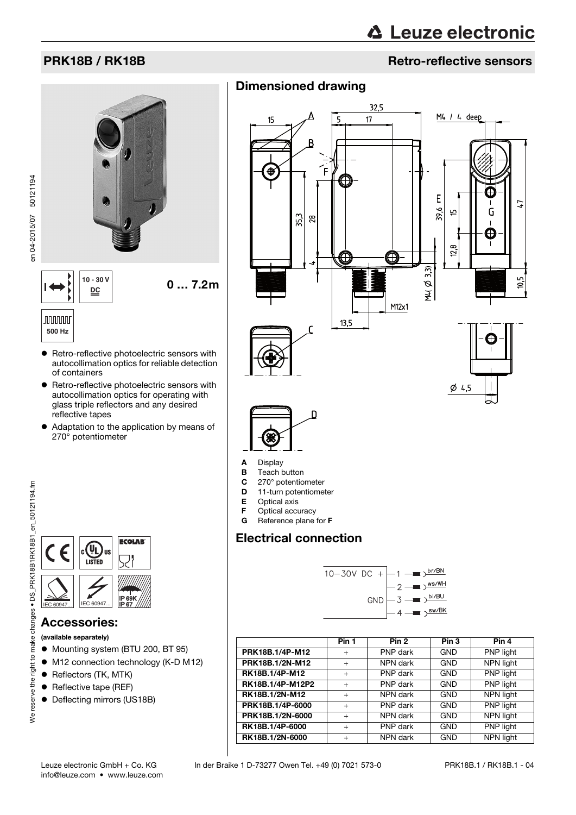# PRK18B / RK18B Retro-reflective sensors

# $\begin{array}{c|c} 10 - 30 \text{ V} & \mathbf{0} \dots \text{ 7.2} \text{m} \end{array}$ **DC**



en 04-2015/07 50121194

en 04-2015/07 50121194



# **JUUUUU 500 Hz**

- **•** Retro-reflective photoelectric sensors with autocollimation optics for reliable detection of containers
- **•** Retro-reflective photoelectric sensors with autocollimation optics for operating with glass triple reflectors and any desired reflective tapes
- Adaptation to the application by means of 270° potentiometer



## Accessories:

(available separately)

- $\bullet$  Mounting system (BTU 200, BT 95)
- M12 connection technology (K-D M12)
- Reflectors (TK, MTK)
- Reflective tape (REF)
- Deflecting mirrors (US18B)

# Dimensioned drawing





- A Display
- **B** Teach button<br>**C** 270° potentio
- $C = 270^\circ$  potentiometer<br> $D = 11$ -turn potentiomer
- 11-turn potentiometer
- E Optical axis
- **F** Optical accuracy<br>**G** Reference plane
- Reference plane for F

# Electrical connection



<span id="page-0-0"></span>

|                  | Pin 1     | Pin <sub>2</sub> | Pin <sub>3</sub> | Pin 4     |
|------------------|-----------|------------------|------------------|-----------|
| PRK18B.1/4P-M12  | $+$       | PNP dark         | <b>GND</b>       | PNP light |
| PRK18B.1/2N-M12  | $+$       | NPN dark         | <b>GND</b>       | NPN light |
| RK18B.1/4P-M12   | $+$       | PNP dark         | <b>GND</b>       | PNP light |
| RK18B.1/4P-M12P2 | $+$       | PNP dark         | <b>GND</b>       | PNP light |
| RK18B.1/2N-M12   | $+$       | NPN dark         | <b>GND</b>       | NPN light |
| PRK18B.1/4P-6000 | $+$       | PNP dark         | <b>GND</b>       | PNP light |
| PRK18B.1/2N-6000 | $+$       | NPN dark         | <b>GND</b>       | NPN light |
| RK18B.1/4P-6000  | $\ddot{}$ | PNP dark         | <b>GND</b>       | PNP light |
| RK18B.1/2N-6000  | $\ddot{}$ | NPN dark         | <b>GND</b>       | NPN light |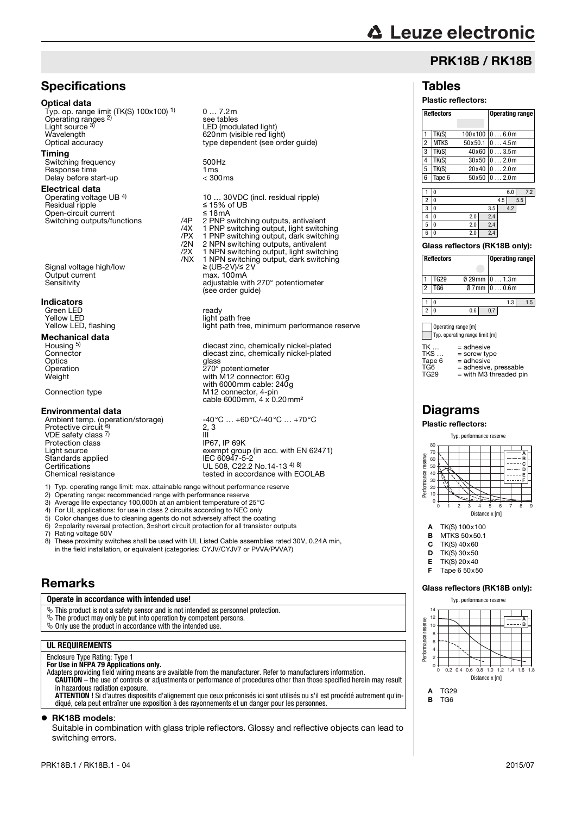# **△ Leuze electronic**

# PRK18B / RK18B

**Reflectors Operating range**

### **Tables**

#### Plastic reflectors:

| 1                              | TK(S)             | 100x100 |     |       | 06.0m |                        |     |
|--------------------------------|-------------------|---------|-----|-------|-------|------------------------|-----|
| $\overline{2}$                 | <b>MTKS</b>       | 50x50.1 |     |       | 04.5m |                        |     |
| 3                              | TK(S)             | 40x60   |     |       | 03.5m |                        |     |
| 4                              | TK(S)             | 30x50   |     |       | 02.0m |                        |     |
| 5                              | TK(S)             | 20x40   |     |       | 02.0m |                        |     |
| 6                              | Tape 6            | 50x50   |     |       | 02.0m |                        |     |
|                                |                   |         |     |       |       |                        |     |
| 1                              | 0                 |         |     |       | 6.0   |                        | 7.2 |
| $\overline{2}$                 | $\Omega$          |         |     | 4.5   |       | 5.5                    |     |
| 3                              | $\Omega$          |         | 3.5 |       | 4.2   |                        |     |
| 4                              | $\Omega$          | 2.0     | 2.4 |       |       |                        |     |
| 5                              | 0                 | 2.0     | 2.4 |       |       |                        |     |
| 6                              | $\Omega$          | 2.0     | 2.4 |       |       |                        |     |
| Glass reflectors (RK18B only): |                   |         |     |       |       |                        |     |
|                                | <b>Reflectors</b> |         |     |       |       | <b>Operating range</b> |     |
|                                |                   |         |     |       |       |                        |     |
| 1                              | <b>TG29</b>       | 0 29 mm |     |       | 01.3m |                        |     |
| 2                              | TG6               | 0 7 mm  |     | 00.6m |       |                        |     |

 $1 \t 0$  1.3 1.5 2 0 0.6 0.7

Operating range [m] Typ. operating range limit [m]

| TK<br>TKS<br>Tape 6 | $=$ adhesive<br>$=$ screw type<br>$=$ adhesive |
|---------------------|------------------------------------------------|
| TG6                 | = adhesive, pressable                          |
| TG29                | = with M3 threaded pin                         |

# **Diagrams**

#### Plastic reflectors:



- **A** TK(S)  $100 \times 100$ <br>**B** MTKS  $50 \times 50.1$
- **B** MTKS 50 $\times$ 50.1<br>**C** TK(S) 40 $\times$ 60  $TK(S)$  40 $x$ 60
- $D$  TK(S) 30 $\times$ 50
- 
- E TK(S)  $20 \times 40$ <br>E Tape 6.50 $\times$ 5 Tape  $6\,50\times50$

#### Glass reflectors (RK18B only):



B TG6

# **Specifications**

#### Optical data

Typ. op. range limit (TK(S) 100x100) 1) Operating ranges 2) Light source 3) Wavelength 620nm (visible red light)<br>
Optical accuracy contract type dependent (see or

0 … 7.2m

see tables

LED (modulated light)

type dependent (see order guide)

10 ... 30VDC (incl. residual ripple)<br> $\leq$  15% of UB<br> $\leq$  18mA

% 2N 2 NPN switching outputs, antivalent<br>
2N 2 NPN switching outputs, antivalent<br>
2N 1 NPN switching output, dark switch

(see order guide)

 $\frac{3}{100}$  adjustable with 270 $^{\circ}$  potentiometer

diecast zinc, chemically nickel-plated diecast zinc, chemically nickel-plated

 $\frac{1}{2}$  exempt group (in acc. with EN 62471)<br>IEC 60947-5-2

tested in accordance with ECOLAB

light path free, minimum performance reserve

#### Timing

Switching frequency 500Hz<br>
Response time 1 ms<br>
Delay before start-up  $\leq 300 \text{ ms}$ Response time Delay before start-up

#### Electrical data

Operating voltage UB 4) Residual ripple Open-circuit current<br>Switching outputs/functions //4P Switching outputs/functions  $\gamma$  /4P 2 PNP switching outputs, antivalent /4X 1 PNP switching output, light switching /PX 1 PNP switching output, dark switching

 /2X 1 NPN switching output, light switching /NX 1 NPN switching output, dark switching Signal voltage high/low  $≥ (UB-2V)/≤ 2V$ <br>Output current max. 100mA Output current max. 100mA<br>Sensitivity adjustable wi

#### Indicators

Green LED<br>
Yellow LED<br>
Yellow LED Yellow LED<br>
Yellow LED, flashing<br>
Yellow LED, flashing<br>
Yellow LED, flashing

#### Mechanical data

Housing <sup>5)</sup><br>Connector Optics<br>Operation Optics<br>
Optics<br>
Operation<br>
Optics<br>
Operation<br>
270° potentiometer<br>
Weight<br>
With M12 connector Weight with M12 connector: 60g with 6000mm cable: 240g

Connection type M12 connector, 4-pin cable 6000mm, 4 x 0.20mm²

#### Environmental data

Ambient temp. (operation/storage) -40°C … +60°C/-40°C … +70°C<br>Protective circuit <sup>6)</sup> 2, 3 VDE safety class 7) Protection class<br>Light source Standards applied<br>Certifications Certifications<br>Chemical resistance<br>Chemical resistance<br>Chemical resistance

1) Typ. operating range limit: max. attainable range without performance reserve

- 2) Operating range: recommended range with performance reserve<br>
2) Operating range: recommended range with performance reserve<br>
3) Average life expectancy 100.000h at an ambient temperature of :
- 3) Average life expectancy 100,000h at an ambient temperature of 25°C
- 4) For UL applications: for use in class 2 circuits according to NEC only<br>5) Color changes due to cleaning agents do not adversely affect the coa
- 5) Color changes due to cleaning agents do not adversely affect the coating 6) 2=polarity reversal protection, 3=short circuit protection for all transistor c
- 6) 2=polarity reversal protection, 3=short circuit protection for all transistor outputs<br>
7) Rating voltage 50V<br>
8) These proximity switches shall be used with UL Listed Cable assemblies rated 3

Rating voltage 50V

These proximity switches shall be used with UL Listed Cable assemblies rated 30V, 0.24A min. in the field installation, or equivalent (categories: CYJV/CYJV7 or PVVA/PVVA7)

2, 3

TI<br>III<br>IP67, IP 69K

#### Remarks

#### **Operate in accordance with intended use!**

 $\ddot{\phi}$  This product is not a safety sensor and is not intended as personnel protection.

- 
- $\%$  The product may only be put into operation by competent persons.<br> $\%$  Only use the product in accordance with the intended use.

#### **UL REQUIREMENTS**

## Enclosure Type Rating: Type 1

**For Use in NFPA 79 Applications only.**<br>Adapters providing field wiring means are available from the manufacturer. Refer to manufacturers information. **CAUTION** – the use of controls or adjustments or performance of procedures other than those specified herein may result in hazardous radiation exposure.

**ATTENTION !** Si d'autres dispositifs d'alignement que ceux préconisés ici sont utilisés ou s'il est procédé autrement qu'indiqué, cela peut entraîner une exposition à des rayonnements et un danger pour les personnes.

#### ● RK18B models:

Suitable in combination with glass triple reflectors. Glossy and reflective objects can lead to switching errors.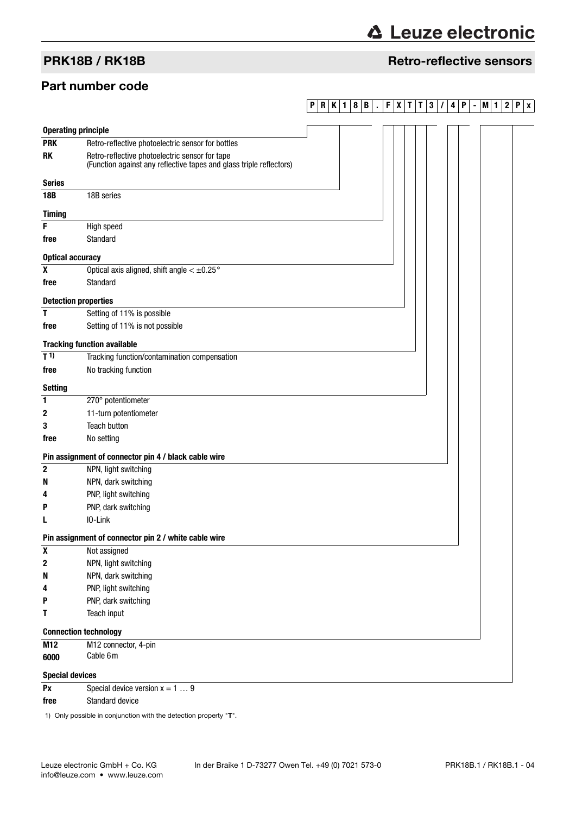# **∆ Leuze electronic**

# PRK18B / RK18B Retro-reflective sensors

## Part number code

# **PRK1 8B . FXT T 3 / 4P -M1 2Px**

| <b>Operating principle</b>   |                                                                                                                       |
|------------------------------|-----------------------------------------------------------------------------------------------------------------------|
| <b>PRK</b>                   | Retro-reflective photoelectric sensor for bottles                                                                     |
| <b>RK</b>                    | Retro-reflective photoelectric sensor for tape<br>(Function against any reflective tapes and glass triple reflectors) |
| <b>Series</b>                |                                                                                                                       |
| <b>18B</b>                   | 18B series                                                                                                            |
| <b>Timing</b>                |                                                                                                                       |
| F                            | High speed                                                                                                            |
| free                         | Standard                                                                                                              |
| <b>Optical accuracy</b>      |                                                                                                                       |
| X                            | Optical axis aligned, shift angle $< \pm 0.25$ °                                                                      |
| free                         | Standard                                                                                                              |
| <b>Detection properties</b>  |                                                                                                                       |
| т                            | Setting of 11% is possible                                                                                            |
| free                         | Setting of 11% is not possible                                                                                        |
|                              | <b>Tracking function available</b>                                                                                    |
| T <sub>1</sub>               | Tracking function/contamination compensation                                                                          |
| free                         | No tracking function                                                                                                  |
| <b>Setting</b>               |                                                                                                                       |
| 1                            | 270° potentiometer                                                                                                    |
| 2                            | 11-turn potentiometer                                                                                                 |
| 3                            | <b>Teach button</b>                                                                                                   |
| free                         | No setting                                                                                                            |
|                              | Pin assignment of connector pin 4 / black cable wire                                                                  |
| $\mathbf 2$                  | NPN, light switching                                                                                                  |
| N                            | NPN, dark switching                                                                                                   |
| 4                            | PNP, light switching                                                                                                  |
| Р                            | PNP, dark switching                                                                                                   |
|                              | IO-Link                                                                                                               |
|                              | Pin assignment of connector pin 2 / white cable wire                                                                  |
| X                            | Not assigned                                                                                                          |
| $\bf 2$                      | NPN, light switching                                                                                                  |
| N                            | NPN, dark switching                                                                                                   |
| 4                            | PNP, light switching                                                                                                  |
| P                            | PNP, dark switching                                                                                                   |
| Τ                            | Teach input                                                                                                           |
| <b>Connection technology</b> |                                                                                                                       |
| M12                          | M12 connector, 4-pin                                                                                                  |
| 6000                         | Cable 6m                                                                                                              |
| <b>Special devices</b>       |                                                                                                                       |
| Px                           | Special device version $x = 1  9$                                                                                     |

**free** Standard device

1) Only possible in conjunction with the detection property "T".